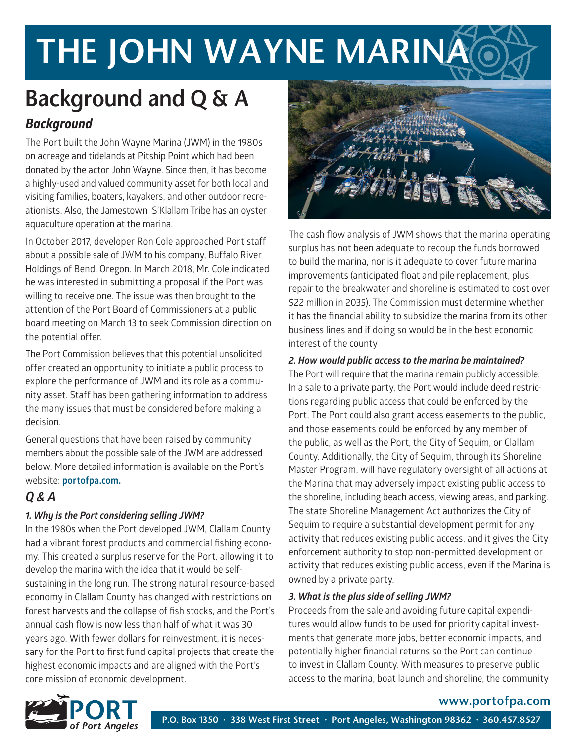# THE JOHN WAYNE MARINA

## *Background*  Background and Q & A

The Port built the John Wayne Marina (JWM) in the 1980s on acreage and tidelands at Pitship Point which had been donated by the actor John Wayne. Since then, it has become a highly-used and valued community asset for both local and visiting families, boaters, kayakers, and other outdoor recreationists. Also, the Jamestown S'Klallam Tribe has an oyster aquaculture operation at the marina.

In October 2017, developer Ron Cole approached Port staff about a possible sale of JWM to his company, Buffalo River Holdings of Bend, Oregon. In March 2018, Mr. Cole indicated he was interested in submitting a proposal if the Port was willing to receive one. The issue was then brought to the attention of the Port Board of Commissioners at a public board meeting on March 13 to seek Commission direction on the potential offer.

The Port Commission believes that this potential unsolicited offer created an opportunity to initiate a public process to explore the performance of JWM and its role as a community asset. Staff has been gathering information to address the many issues that must be considered before making a decision.

General questions that have been raised by community members about the possible sale of the JWM are addressed below. More detailed information is available on the Port's website: **portofpa.com.**

### *Q & A*

#### *1. Why is the Port considering selling JWM?*

In the 1980s when the Port developed JWM, Clallam County had a vibrant forest products and commercial fishing economy. This created a surplus reserve for the Port, allowing it to develop the marina with the idea that it would be selfsustaining in the long run. The strong natural resource-based economy in Clallam County has changed with restrictions on forest harvests and the collapse of fish stocks, and the Port's annual cash flow is now less than half of what it was 30 years ago. With fewer dollars for reinvestment, it is necessary for the Port to first fund capital projects that create the highest economic impacts and are aligned with the Port's core mission of economic development.



The cash flow analysis of JWM shows that the marina operating surplus has not been adequate to recoup the funds borrowed to build the marina, nor is it adequate to cover future marina improvements (anticipated float and pile replacement, plus repair to the breakwater and shoreline is estimated to cost over \$22 million in 2035). The Commission must determine whether it has the financial ability to subsidize the marina from its other business lines and if doing so would be in the best economic interest of the county

#### *2. How would public access to the marina be maintained?*

The Port will require that the marina remain publicly accessible. In a sale to a private party, the Port would include deed restrictions regarding public access that could be enforced by the Port. The Port could also grant access easements to the public, and those easements could be enforced by any member of the public, as well as the Port, the City of Sequim, or Clallam County. Additionally, the City of Sequim, through its Shoreline Master Program, will have regulatory oversight of all actions at the Marina that may adversely impact existing public access to the shoreline, including beach access, viewing areas, and parking. The state Shoreline Management Act authorizes the City of Sequim to require a substantial development permit for any activity that reduces existing public access, and it gives the City enforcement authority to stop non-permitted development or activity that reduces existing public access, even if the Marina is owned by a private party.

#### *3. What is the plus side of selling JWM?*

Proceeds from the sale and avoiding future capital expenditures would allow funds to be used for priority capital investments that generate more jobs, better economic impacts, and potentially higher financial returns so the Port can continue to invest in Clallam County. With measures to preserve public access to the marina, boat launch and shoreline, the community